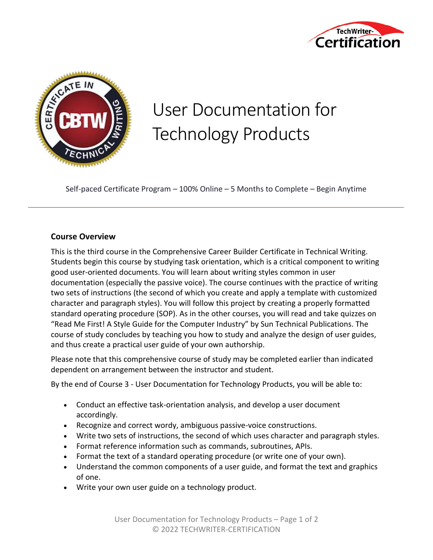



# User Documentation for Technology Products

Self-paced Certificate Program – 100% Online – 5 Months to Complete – Begin Anytime

## **Course Overview**

This is the third course in the Comprehensive Career Builder Certificate in Technical Writing. Students begin this course by studying task orientation, which is a critical component to writing good user-oriented documents. You will learn about writing styles common in user documentation (especially the passive voice). The course continues with the practice of writing two sets of instructions (the second of which you create and apply a template with customized character and paragraph styles). You will follow this project by creating a properly formatted standard operating procedure (SOP). As in the other courses, you will read and take quizzes on "Read Me First! A Style Guide for the Computer Industry" by Sun Technical Publications. The course of study concludes by teaching you how to study and analyze the design of user guides, and thus create a practical user guide of your own authorship.

Please note that this comprehensive course of study may be completed earlier than indicated dependent on arrangement between the instructor and student.

By the end of Course 3 - User Documentation for Technology Products, you will be able to:

- Conduct an effective task-orientation analysis, and develop a user document accordingly.
- Recognize and correct wordy, ambiguous passive-voice constructions.
- Write two sets of instructions, the second of which uses character and paragraph styles.
- Format reference information such as commands, subroutines, APIs.
- Format the text of a standard operating procedure (or write one of your own).
- Understand the common components of a user guide, and format the text and graphics of one.
- Write your own user guide on a technology product.